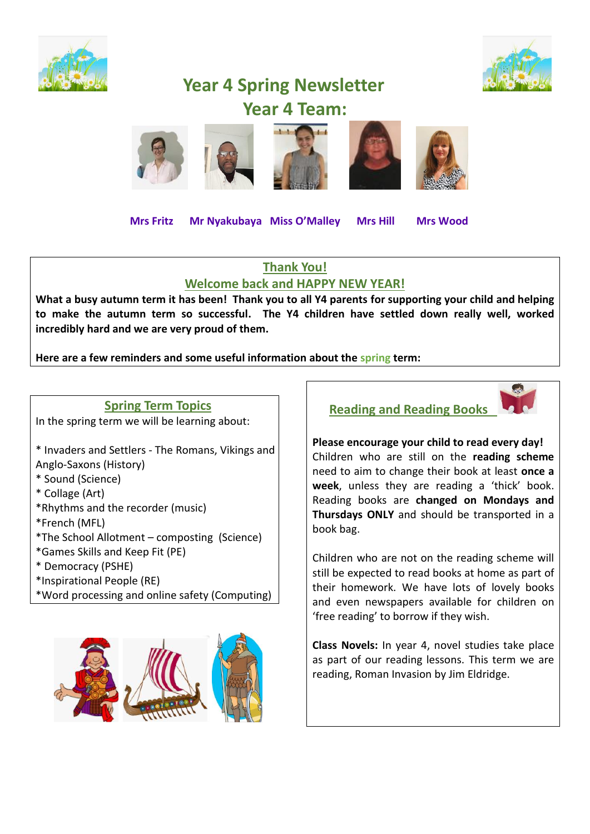



# **Year 4 Spring Newsletter Year 4 Team:**



 **Mrs Fritz Mr Nyakubaya Miss O'Malley Mrs Hill Mrs Wood** 

#### **Thank You!**

#### **Welcome back and HAPPY NEW YEAR!**

**What a busy autumn term it has been! Thank you to all Y4 parents for supporting your child and helping to make the autumn term so successful. The Y4 children have settled down really well, worked incredibly hard and we are very proud of them.** 

**Here are a few reminders and some useful information about the spring term:** 



- \*Inspirational People (RE)
- \*Word processing and online safety (Computing)



**Reading and Reading Books** 



**Please encourage your child to read every day!** Children who are still on the **reading scheme** need to aim to change their book at least **once a week**, unless they are reading a 'thick' book. Reading books are **changed on Mondays and Thursdays ONLY** and should be transported in a book bag.

Children who are not on the reading scheme will still be expected to read books at home as part of their homework. We have lots of lovely books and even newspapers available for children on 'free reading' to borrow if they wish.

**Class Novels:** In year 4, novel studies take place as part of our reading lessons. This term we are reading, Roman Invasion by Jim Eldridge.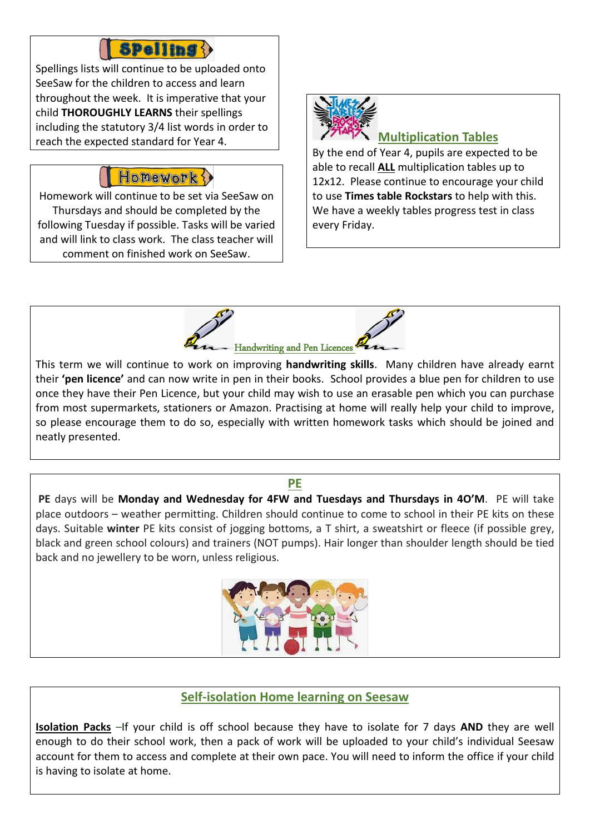# **Spelling {}**

Spellings lists will continue to be uploaded onto SeeSaw for the children to access and learn throughout the week. It is imperative that your child **THOROUGHLY LEARNS** their spellings including the statutory 3/4 list words in order to reach the expected standard for Year 4.

## Honework

Homework will continue to be set via SeeSaw on Thursdays and should be completed by the following Tuesday if possible. Tasks will be varied and will link to class work. The class teacher will comment on finished work on SeeSaw.



## **Multiplication Tables**

By the end of Year 4, pupils are expected to be able to recall **ALL** multiplication tables up to 12x12. Please continue to encourage your child to use **Times table Rockstars** to help with this. We have a weekly tables progress test in class every Friday.



This term we will continue to work on improving **handwriting skills**. Many children have already earnt their **'pen licence'** and can now write in pen in their books. School provides a blue pen for children to use once they have their Pen Licence, but your child may wish to use an erasable pen which you can purchase from most supermarkets, stationers or Amazon. Practising at home will really help your child to improve, so please encourage them to do so, especially with written homework tasks which should be joined and neatly presented.

#### **PE**

**PE** days will be **Monday and Wednesday for 4FW and Tuesdays and Thursdays in 4O'M**. PE will take place outdoors – weather permitting. Children should continue to come to school in their PE kits on these days. Suitable **winter** PE kits consist of jogging bottoms, a T shirt, a sweatshirt or fleece (if possible grey, black and green school colours) and trainers (NOT pumps). Hair longer than shoulder length should be tied back and no jewellery to be worn, unless religious.



### **Self-isolation Home learning on Seesaw**

**Isolation Packs** –If your child is off school because they have to isolate for 7 days **AND** they are well enough to do their school work, then a pack of work will be uploaded to your child's individual Seesaw account for them to access and complete at their own pace. You will need to inform the office if your child is having to isolate at home.